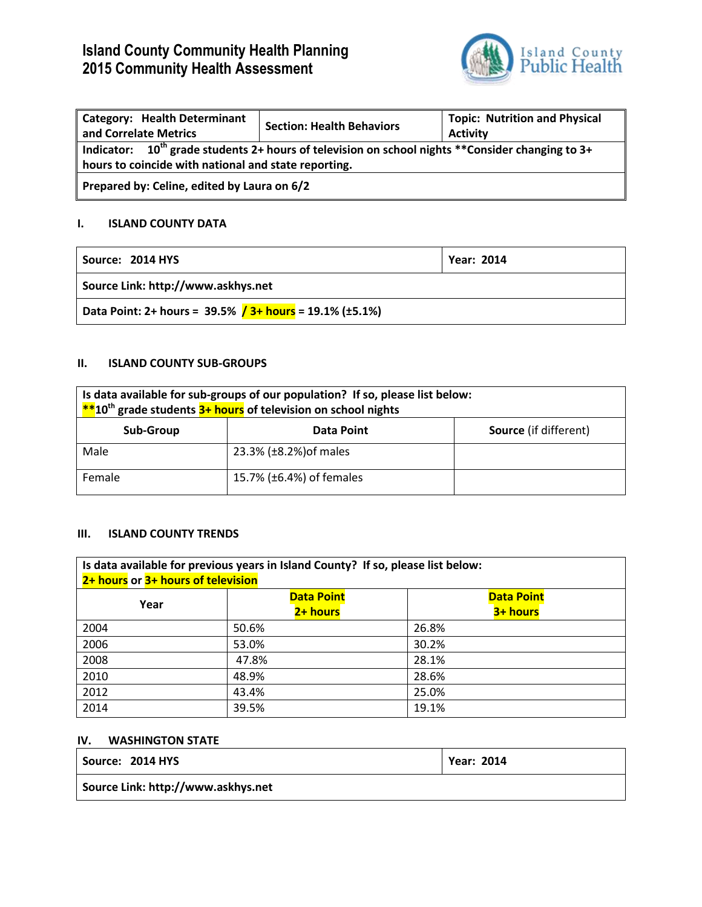# **Island County Community Health Planning 2015 Community Health Assessment**



| Category: Health Determinant<br>and Correlate Metrics                                                                                                         | <b>Section: Health Behaviors</b> | <b>Topic: Nutrition and Physical</b><br><b>Activity</b> |
|---------------------------------------------------------------------------------------------------------------------------------------------------------------|----------------------------------|---------------------------------------------------------|
| Indicator: $10^{th}$ grade students 2+ hours of television on school nights **Consider changing to 3+<br>hours to coincide with national and state reporting. |                                  |                                                         |
| Prepared by: Celine, edited by Laura on 6/2                                                                                                                   |                                  |                                                         |

## **I. ISLAND COUNTY DATA**

| Source: 2014 HYS                                           | <b>Year: 2014</b> |
|------------------------------------------------------------|-------------------|
| Source Link: http://www.askhys.net                         |                   |
| Data Point: 2+ hours = $39.5\%$ / 3+ hours = 19.1% (±5.1%) |                   |

### **II. ISLAND COUNTY SUB-GROUPS**

| Is data available for sub-groups of our population? If so, please list below:<br>$*$ 10 <sup>th</sup> grade students $3+$ hours of television on school nights |                          |                              |
|----------------------------------------------------------------------------------------------------------------------------------------------------------------|--------------------------|------------------------------|
| Sub-Group                                                                                                                                                      | Data Point               | <b>Source</b> (if different) |
| Male                                                                                                                                                           | 23.3% (±8.2%) of males   |                              |
| Female                                                                                                                                                         | 15.7% (±6.4%) of females |                              |

#### **III. ISLAND COUNTY TRENDS**

| Is data available for previous years in Island County? If so, please list below: |                   |                   |  |
|----------------------------------------------------------------------------------|-------------------|-------------------|--|
| 2+ hours or 3+ hours of television                                               |                   |                   |  |
| Year                                                                             | <b>Data Point</b> | <b>Data Point</b> |  |
|                                                                                  | 2+ hours          | 3+ hours          |  |
| 2004                                                                             | 50.6%             | 26.8%             |  |
| 2006                                                                             | 53.0%             | 30.2%             |  |
| 2008                                                                             | 47.8%             | 28.1%             |  |
| 2010                                                                             | 48.9%             | 28.6%             |  |
| 2012                                                                             | 43.4%             | 25.0%             |  |
| 2014                                                                             | 39.5%             | 19.1%             |  |

#### **IV. WASHINGTON STATE**

| Source: 2014 HYS                   | <b>Year: 2014</b> |
|------------------------------------|-------------------|
| Source Link: http://www.askhys.net |                   |